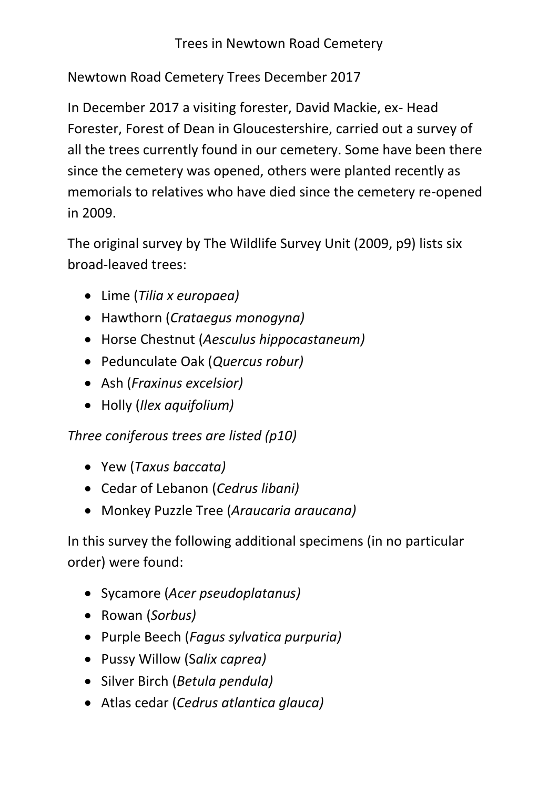## Trees in Newtown Road Cemetery

Newtown Road Cemetery Trees December 2017

In December 2017 a visiting forester, David Mackie, ex- Head Forester, Forest of Dean in Gloucestershire, carried out a survey of all the trees currently found in our cemetery. Some have been there since the cemetery was opened, others were planted recently as memorials to relatives who have died since the cemetery re-opened in 2009.

The original survey by The Wildlife Survey Unit (2009, p9) lists six broad-leaved trees:

- Lime (*Tilia x europaea)*
- Hawthorn (*Crataegus monogyna)*
- Horse Chestnut (*Aesculus hippocastaneum)*
- Pedunculate Oak (*Quercus robur)*
- Ash (*Fraxinus excelsior)*
- Holly (*Ilex aquifolium)*

*Three coniferous trees are listed (p10)*

- Yew (*Taxus baccata)*
- Cedar of Lebanon (*Cedrus libani)*
- Monkey Puzzle Tree (*Araucaria araucana)*

In this survey the following additional specimens (in no particular order) were found:

- Sycamore (*Acer pseudoplatanus)*
- Rowan (*Sorbus)*
- Purple Beech (*Fagus sylvatica purpuria)*
- Pussy Willow (S*alix caprea)*
- Silver Birch (*Betula pendula)*
- Atlas cedar (*Cedrus atlantica glauca)*